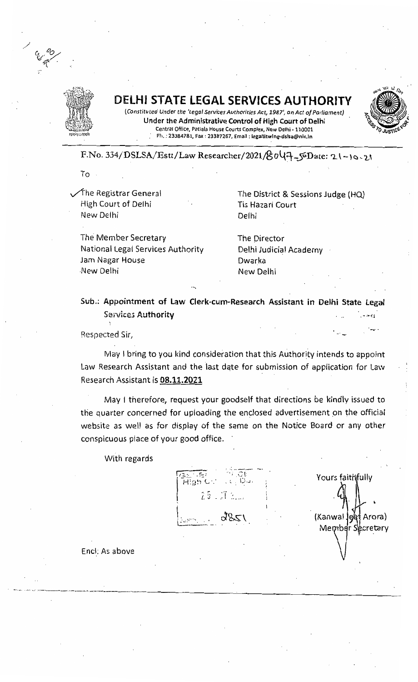

# **DELHI STATE LEGAL SERVICES AUTHORITY**



(Constituted Under the 'Legal Services Authorities Act, 1987', an Act of Parliament) Under the Administrative Control of High Court of Delhi Central Office, Patlala House Courts Complex, New Delhi· 110001 Ph.: 23384781, Fax: 23387267, Email: legallitwing-dslsa@nic.in

F.No. 334/DSLSA/Estt/Law Researcher/2021/@;OY~~Date: '2.. \ -) t::l ~ L.~

To a

High Court of Delhi Tis Hazari Court New Delhi Delhi

The Member Secretary The Director National Legal Services Authority Jam Nagar House **Dwarka** New Delhi New Delhi

The Registrar General  $\tau$  The District & Sessions Judge (HQ)

Delhi Judicial Academy

Sub.: Appointment of Law Clerk-cum-Research Assistant in Delhi State Legal Services Authority  $-0.001$ 

Respected Sir;

May I bring to you kind consideration that this Authority intends to appoint Law Research Assistant and the last date for submission of application for Law Research Assistant is 08.11.2021

May I therefore, request your goodself that directions be kindly issued to the quarter concerned for uploading the enclosed advertisement on the official website as well as for display of the same on the Notice Board or any other conspicuous place of your good office.

With regards



Yours faithfully (Kanwal leet Arora) Member Secretary

End: As above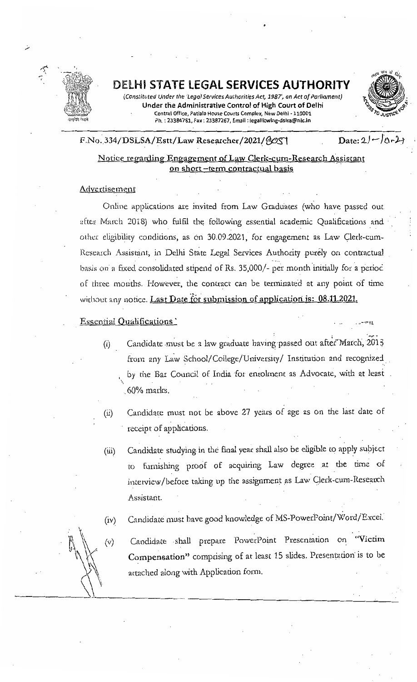

DELHI **STATE LEGAL SERVICES AUTHORITY** 

(Constituted Under the 'Legal Services Authorities Act, 1987', an Act of Parliament) Under the Administrative Control of High Court of Delhi Central Office, Patiala House Courts Complex, New Delhi - 110001 Ph.: 23384781, Fax: 23387267, Email: legallitwing-dslsa@nlc.in



F.No. 334/DSLSA/Estt/Law Researcher/2021/AOST

 $Date: 21 - 10 - 2$ 

 $-11$ 

# Notice regarding Engagement of Law Clerk-cum-Research Assistant on short -term contractual basis

# Adve rtisement

Online applications are invited from Law Graduates (who have passed out after March 2018) who fulfil the following essential academic Qualifications and other eligibility conditions, as on 30.09.2021, for engagement as Law Clerk-cum-Research Assistant, in Delhi State Legal Services Authority purely on contractual basis on a fixed consolidated stipend of Rs. 35,000/- per month initially for a perioc , where the contribution of the contribution of the contribution of the contribution  $\mathcal{L}_\mathcal{A}$ of three moriths. However, the contract can be terminated at any point of time without any notice. Last Date for submission of application is: 08.11.2021.

### Essential Qualifications'

 $(v)$ 

- (i) Candidate must be a law graduate having passed out after March, 2013 from any Law School/College/University/ Institution and recognized by the Bar Council of India for enrolment as Advocate, with at least '>, ,60% maries.
- (ii) Candidate must not be above 27 years of age as on the last date of receipt of applications.
- (iii) Candidate studying in the final year shall also be eligible to apply subject to furnishing proof of acquiring Law degree at the time of interview/before taking up the assignment as Law Clerk-cum-Research Assistant.
- (iv) Candidate must have good knowledge of MS-PowerPoint/Word/Excel.
	- Candidate ,shall prepare PowerPoint Presentation on "Victim Compensation" comprising of at least 15 slides. Presentation'is to be attached along with Application form.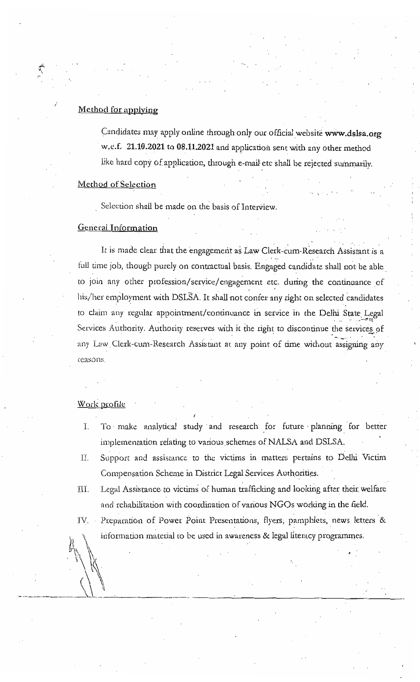### Method for applying

Candidates may apply online through only our official website www.dslsa.org w.e.f. 21.10.2021 to 08.11.2021 and application sent with any other method like hard copy of application, through e-mail etc shall be rejected summarily.

#### **Method of Selection**

Selection shall be made on the basis of Interview.

### **General Information**

It is made clear that the engagement as Law Clerk-cum-Research Assistant is a full time job, though purely on contractual basis. Engaged candidate shall not be able to join any other profession/service/engagement etc. during the continuance of his/her employment with DSLSA. It shall not confer any right on selected candidates to claim any regular appointment/continuance in service in the Delhi State Legal Services Authority. Authority reserves with it the right to discontinue the services of any Law Clerk-cum-Research Assistant at any point of time without assigning any reasons.

#### Work profile

- To make analytical study and research for future planning for better Ï. implementation relating to various schemes of NALSA and DSLSA.
- TI. Support and assistance to the victims in matters pertains to Delhi Victim Compensation Scheme in District Legal Services Authorities.
- Legal Assistance to victims of human trafficking and looking after their welfare III. and rehabilitation with coordination of various NGOs working in the field.
- Preparation of Power Point Presentations, flyers, pamphlets, news letters & IV. information material to be used in awareness & legal literacy programmes.